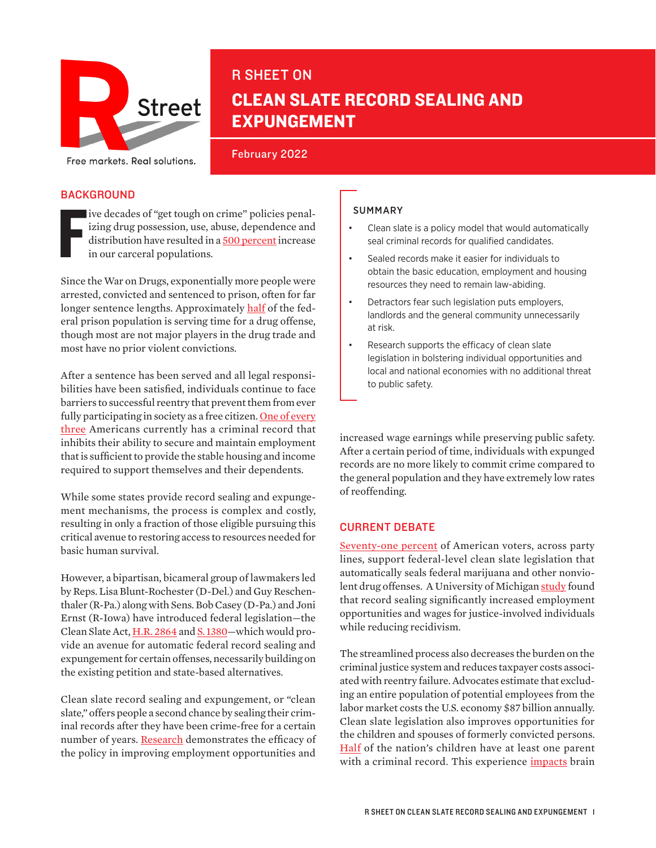

# R SHEET ON CLEAN SLATE RECORD SEALING AND EXPUNGEMENT

February 2022 Free markets. Real solutions.

### **BACKGROUND**

F ive decades of "get tough on crime" policies penalizing drug possession, use, abuse, dependence and distribution have resulted in a [500 percent](https://www.aclu.org/issues/smart-justice/mass-incarceration) increase in our carceral populations.

Since the War on Drugs, exponentially more people were arrested, convicted and sentenced to prison, often for far longer sentence lengths. Approximately [half](https://www.sentencingproject.org/criminal-justice-facts/) of the federal prison population is serving time for a drug offense, though most are not major players in the drug trade and most have no prior violent convictions.

After a sentence has been served and all legal responsibilities have been satisfied, individuals continue to face barriers to successful reentry that prevent them from ever fully participating in society as a free citizen. One of every [three](https://www.cleanslateinitiative.org/about-clean-slate) Americans currently has a criminal record that inhibits their ability to secure and maintain employment that is sufficient to provide the stable housing and income required to support themselves and their dependents.

While some states provide record sealing and expungement mechanisms, the process is complex and costly, resulting in only a fraction of those eligible pursuing this critical avenue to restoring access to resources needed for basic human survival.

However, a bipartisan, bicameral group of lawmakers led by Reps. Lisa Blunt-Rochester (D-Del.) and Guy Reschenthaler (R-Pa.) along with Sens. Bob Casey (D-Pa.) and Joni Ernst (R-Iowa) have introduced federal legislation—the Clean Slate Act, [H.R. 2864](https://www.congress.gov/bill/117th-congress/house-bill/2864?s=1&r=73) and [S. 1380](https://www.congress.gov/bill/117th-congress/senate-bill/1380)-which would provide an avenue for automatic federal record sealing and expungement for certain offenses, necessarily building on the existing petition and state-based alternatives.

Clean slate record sealing and expungement, or "clean slate," offers people a second chance by sealing their criminal records after they have been crime-free for a certain number of years. [Research](https://www.ojp.gov/pdffiles1/nij/grants/240100.pdf) demonstrates the efficacy of the policy in improving employment opportunities and

#### SUMMARY

- Clean slate is a policy model that would automatically seal criminal records for qualified candidates.
- Sealed records make it easier for individuals to obtain the basic education, employment and housing resources they need to remain law-abiding.
- Detractors fear such legislation puts employers, landlords and the general community unnecessarily at risk.
- Research supports the efficacy of clean slate legislation in bolstering individual opportunities and local and national economies with no additional threat to public safety.

increased wage earnings while preserving public safety. After a certain period of time, individuals with expunged records are no more likely to commit crime compared to the general population and they have extremely low rates of reoffending.

### CURRENT DEBATE

[Seventy-one percent](https://www.americanprogress.org/press/release-new-polling-shows-71-percent-support-federal-clean-slate-record-clearing-legislation/) of American voters, across party lines, support federal-level clean slate legislation that automatically seals federal marijuana and other nonviolent drug offenses. A University of Michigan [study](https://online.ucpress.edu/fsr/article-abstract/30/4-5/361/96141/Michigan-Set-Asides-Found-to-Increase-Wages-and?redirectedFrom=fulltext) found that record sealing significantly increased employment opportunities and wages for justice-involved individuals while reducing recidivism.

The streamlined process also decreases the burden on the criminal justice system and reduces taxpayer costs associated with reentry failure. Advocates estimate that excluding an entire population of potential employees from the labor market costs the U.S. economy [\\$87 billion annually](https://www.cleanslateinitiative.org/). Clean slate legislation also improves opportunities for the children and spouses of formerly convicted persons. [Half](https://www.cleanslateinitiative.org/) of the nation's children have at least one parent with a criminal record. This experience *impacts* brain